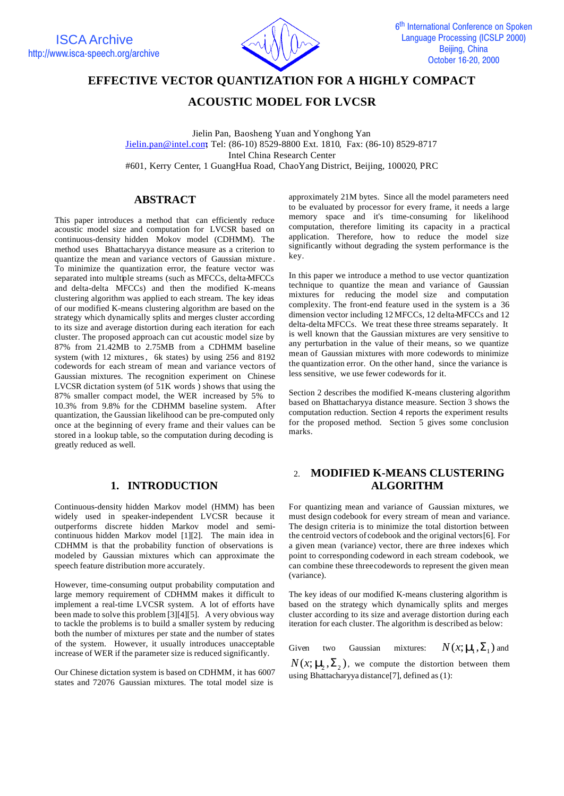

# **EFFECTIVE VECTOR QUANTIZATION FOR A HIGHLY COMPACT**

**ACOUSTIC MODEL FOR LVCSR**

Jielin Pan, Baosheng Yuan and Yonghong Yan Jielin.pan@intel.com; Tel: (86-10) 8529-8800 Ext. 1810, Fax: (86-10) 8529-8717 Intel China Research Center #601, Kerry Center, 1 GuangHua Road, ChaoYang District, Beijing, 100020, PRC

## **ABSTRACT**

This paper introduces a method that can efficiently reduce acoustic model size and computation for LVCSR based on continuous-density hidden Mokov model (CDHMM). The method uses Bhattacharyya distance measure as a criterion to quantize the mean and variance vectors of Gaussian mixture . To minimize the quantization error, the feature vector was separated into multiple streams (such as MFCCs, delta-MFCCs and delta-delta MFCCs) and then the modified K-means clustering algorithm was applied to each stream. The key ideas of our modified K-means clustering algorithm are based on the strategy which dynamically splits and merges cluster according to its size and average distortion during each iteration for each cluster. The proposed approach can cut acoustic model size by 87% from 21.42MB to 2.75MB from a CDHMM baseline system (with 12 mixtures, 6k states) by using 256 and 8192 codewords for each stream of mean and variance vectors of Gaussian mixtures. The recognition experiment on Chinese LVCSR dictation system (of 51K words ) shows that using the 87% smaller compact model, the WER increased by 5% to 10.3% from 9.8% for the CDHMM baseline system. After quantization, the Gaussian likelihood can be pre-computed only once at the beginning of every frame and their values can be stored in a lookup table, so the computation during decoding is greatly reduced as well.

## **1. INTRODUCTION**

Continuous-density hidden Markov model (HMM) has been widely used in speaker-independent LVCSR because it outperforms discrete hidden Markov model and semicontinuous hidden Markov model [1][2]. The main idea in CDHMM is that the probability function of observations is modeled by Gaussian mixtures which can approximate the speech feature distribution more accurately.

However, time-consuming output probability computation and large memory requirement of CDHMM makes it difficult to implement a real-time LVCSR system. A lot of efforts have been made to solve this problem [3][4][5]. A very obvious way to tackle the problems is to build a smaller system by reducing both the number of mixtures per state and the number of states of the system. However, it usually introduces unacceptable increase of WER if the parameter size is reduced significantly.

Our Chinese dictation system is based on CDHMM, it has 6007 states and 72076 Gaussian mixtures. The total model size is

approximately 21M bytes. Since all the model parameters need to be evaluated by processor for every frame, it needs a large memory space and it's time-consuming for likelihood computation, therefore limiting its capacity in a practical application. Therefore, how to reduce the model size significantly without degrading the system performance is the key.

In this paper we introduce a method to use vector quantization technique to quantize the mean and variance of Gaussian mixtures for reducing the model size and computation complexity. The front-end feature used in the system is a 36 dimension vector including 12 MFCCs, 12 delta-MFCCs and 12 delta-delta MFCCs. We treat these three streams separately. It is well known that the Gaussian mixtures are very sensitive to any perturbation in the value of their means, so we quantize mean of Gaussian mixtures with more codewords to minimize the quantization error. On the other hand, since the variance is less sensitive, we use fewer codewords for it.

Section 2 describes the modified K-means clustering algorithm based on Bhattacharyya distance measure. Section 3 shows the computation reduction. Section 4 reports the experiment results for the proposed method. Section 5 gives some conclusion marks.

## 2. **MODIFIED K-MEANS CLUSTERING ALGORITHM**

For quantizing mean and variance of Gaussian mixtures, we must design codebook for every stream of mean and variance. The design criteria is to minimize the total distortion between the centroid vectors of codebook and the original vectors[6]. For a given mean (variance) vector, there are three indexes which point to corresponding codeword in each stream codebook, we can combine these three codewords to represent the given mean (variance).

The key ideas of our modified K-means clustering algorithm is based on the strategy which dynamically splits and merges cluster according to its size and average distortion during each iteration for each cluster. The algorithm is described as below:

Given two Gaussian mixtures:  $N(x; \mathbf{m}, \Sigma_1)$  and

 $N(x; \mathbf{m}, \Sigma)$ , we compute the distortion between them using Bhattacharyya distance[7], defined as (1):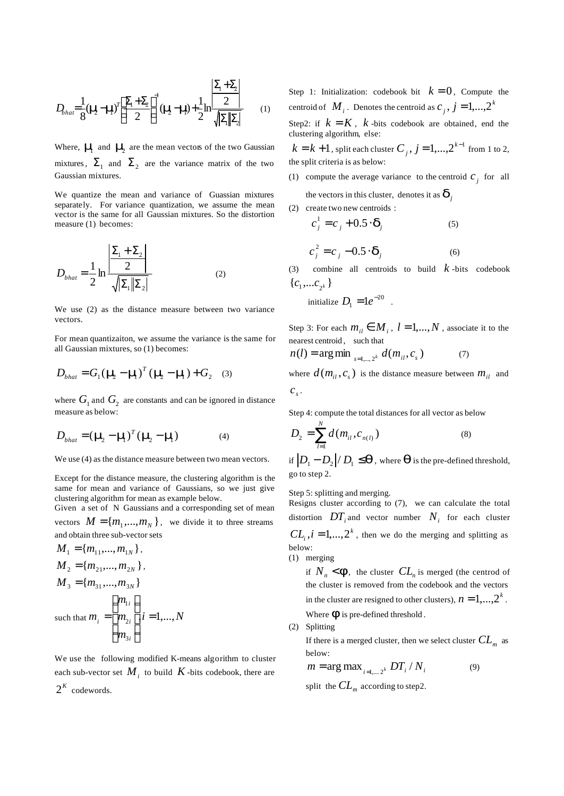$$
D_{bhat}\frac{1}{8}(\mathbf{H} - \mathbf{H})^T \left[ \frac{\Sigma + \Sigma_2}{2} \right]^4 (\mathbf{H} - \mathbf{H}) + \frac{1}{2} \ln \frac{\left| \Sigma_1 + \Sigma_2 \right|}{2} \tag{1}
$$

Where,  $\mathbf{m}$  and  $\mathbf{m}$  are the mean vectors of the two Gaussian mixtures,  $\Sigma_1$  and  $\Sigma_2$  are the variance matrix of the two Gaussian mixtures.

We quantize the mean and variance of Guassian mixtures separately. For variance quantization, we assume the mean vector is the same for all Gaussian mixtures. So the distortion measure (1) becomes:

$$
D_{\text{bhat}} = \frac{1}{2} \ln \frac{\left| \frac{\Sigma_1 + \Sigma_2}{2} \right|}{\sqrt{\left| \Sigma_1 \right| \Sigma_2}}
$$
 (2) (3) comb  

$$
\left\{ c_1, \dots, c_{2^k} \right\}
$$

We use (2) as the distance measure between two variance vectors.

For mean quantizaiton, we assume the variance is the same for all Gaussian mixtures, so (1) becomes:

$$
D_{\text{bhat}} = G_1 (\mathbf{m} - \mathbf{m})^T (\mathbf{m} - \mathbf{m}) + G_2 \quad (3)
$$

where  $G_{\!\scriptscriptstyle 1}$  and  $G_{\!\scriptscriptstyle 2}$  are constants and can be ignored in distance measure as below:

$$
D_{\text{bhat}} = (\mathbf{m} - \mathbf{m})^T (\mathbf{m} - \mathbf{m}) \tag{4}
$$

We use (4) as the distance measure between two mean vectors.

Except for the distance measure, the clustering algorithm is the same for mean and variance of Gaussians, so we just give clustering algorithm for mean as example below.

Given a set of N Gaussians and a corresponding set of mean vectors  $M = \{m_1, ..., m_N\}$ , we divide it to three streams and obtain three sub-vector sets

$$
M_{1} = \{m_{11},...,m_{1N}\},
$$
  
\n
$$
M_{2} = \{m_{21},...,m_{2N}\},
$$
  
\n
$$
M_{3} = \{m_{31},...,m_{3N}\}
$$
  
\nsuch that 
$$
m_{i} = \begin{pmatrix} m_{1i} \\ m_{2i} \\ m_{3i} \end{pmatrix} i = 1,...,N
$$

We use the following modified K-means algorithm to cluster each sub-vector set  $\overline{M}_i$  to build  $\overline{K}$  -bits codebook, there are  $2^{K}$  codewords.

Step 1: Initialization: codebook bit  $k = 0$ , Compute the centroid of  $\boldsymbol{M}_i$  . Denotes the centroid as  $c_j$  ,  $j = 1,...,2^k$ 

Step2: if  $k = K$ ,  $k$ -bits codebook are obtained, end the clustering algorithm, else:

 $k = k + 1$  , split each cluster  $C_j$  ,  $j = 1,...,2^{k-1}$  from 1 to 2, the split criteria is as below:

- (1) compute the average variance to the centroid  $c_j$  for all the vectors in this cluster, denotes it as  $\boldsymbol{d}_i$
- (2) create two new centroids :

$$
c_j^1 = c_j + 0.5 \cdot \mathbf{d}_j \tag{5}
$$

$$
c_j^2 = c_j - 0.5 \cdot \mathbf{d}_j \tag{6}
$$

(3) combine all centroids to build *k* -bits codebook  $\{c^{}_1,...c^{}_{2^{k}}\}$ 

$$
initialize D_1 = 1e^{-20}.
$$

Step 3: For each  $m_{il} \in M_i$ ,  $l = 1,...,N$  , associate it to the nearest centroid , such that

$$
n(l) = \arg\min_{s=1,\dots,2^k} d(m_{il}, c_s)
$$
 (7)

where  $d(m_{il}, c_s)$  is the distance measure between  $m_{il}$  and  $c_{\scriptscriptstyle s}$ .

Step 4: compute the total distances for all vector as below

$$
D_2 = \sum_{i=1}^{N} d(m_{i1}, c_{n(i)})
$$
\n(8)

if  $\left| D_1 \!-\! D_2 \right| \!/\, D_1 \leq \! \bm{q}$  , where  $\bm{q}$  is the pre-defined threshold, go to step 2.

Step 5: splitting and merging.

Resigns cluster according to (7), we can calculate the total distortion  $DT_i$  and vector number  $N_i$  for each cluster  $CL_i$ ,  $i = 1,...,2^k$ , then we do the merging and splitting as below: (1) merging

if  $N_n < f$ , the cluster  $CL_n$  is merged (the centrod of the cluster is removed from the codebook and the vectors in the cluster are resigned to other clusters),  $n = 1, ..., 2^k$ . Where  $f$  is pre-defined threshold.

(2) Splitting

If there is a merged cluster, then we select cluster  $\emph{CL}_{m}^-$  as below:

$$
m = \arg \max_{i=1,\dots,2^k} DT_i / N_i \tag{9}
$$

split the 
$$
CL_m
$$
 according to step2.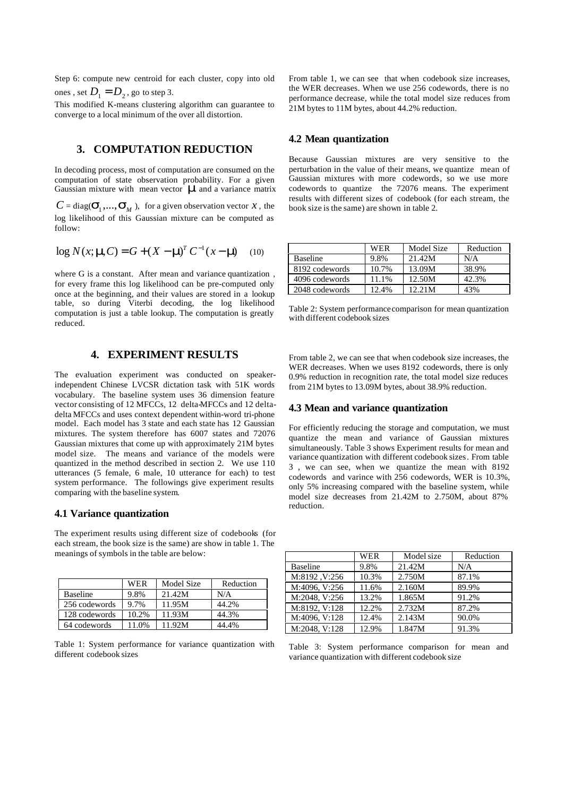Step 6: compute new centroid for each cluster, copy into old ones , set  $D_1 = D_2$ , go to step 3.

This modified K-means clustering algorithm can guarantee to converge to a local minimum of the over all distortion.

## **3. COMPUTATION REDUCTION**

In decoding process, most of computation are consumed on the computation of state observation probability. For a given Gaussian mixture with mean vector *m* and a variance matrix

 $C = \text{diag}(\mathbf{S}_1, ..., \mathbf{S}_M)$ , for a given observation vector *x*, the log likelihood of this Gaussian mixture can be computed as follow:

$$
\log N(x; \mathbf{m}C) = G + (X - \mathbf{m})^T C^{-1} (x - \mathbf{m}) \quad (10)
$$

where G is a constant. After mean and variance quantization , for every frame this log likelihood can be pre-computed only once at the beginning, and their values are stored in a lookup table, so during Viterbi decoding, the log likelihood computation is just a table lookup. The computation is greatly reduced.

#### **4. EXPERIMENT RESULTS**

The evaluation experiment was conducted on speakerindependent Chinese LVCSR dictation task with 51K words vocabulary. The baseline system uses 36 dimension feature vector consisting of 12 MFCCs, 12 delta-MFCCs and 12 deltadelta MFCCs and uses context dependent within-word tri-phone model. Each model has 3 state and each state has 12 Gaussian mixtures. The system therefore has 6007 states and 72076 Gaussian mixtures that come up with approximately 21M bytes model size. The means and variance of the models were quantized in the method described in section 2. We use 110 utterances (5 female, 6 male, 10 utterance for each) to test system performance. The followings give experiment results comparing with the baseline system.

#### **4.1 Variance quantization**

The experiment results using different size of codebooks (for each stream, the book size is the same) are show in table 1. The meanings of symbols in the table are below:

|                 | <b>WER</b> | Model Size | Reduction |
|-----------------|------------|------------|-----------|
| <b>Baseline</b> | 9.8%       | 21.42M     | N/A       |
| 256 codewords   | 9.7%       | 11.95M     | 44.2%     |
| 128 codewords   | 10.2%      | 11.93M     | 44.3%     |
| 64 codewords    | 11.0%      | 11.92M     | 44.4%     |

Table 1: System performance for variance quantization with different codebook sizes

From table 1, we can see that when codebook size increases, the WER decreases. When we use 256 codewords, there is no performance decrease, while the total model size reduces from 21M bytes to 11M bytes, about 44.2% reduction.

### **4.2 Mean quantization**

Because Gaussian mixtures are very sensitive to the perturbation in the value of their means, we quantize mean of Gaussian mixtures with more codewords, so we use more codewords to quantize the 72076 means. The experiment results with different sizes of codebook (for each stream, the book size is the same) are shown in table 2.

|                 | WER     | Model Size | Reduction |
|-----------------|---------|------------|-----------|
| <b>Baseline</b> | 9.8%    | 21.42M     | N/A       |
| 8192 codewords  | 10.7%   | 13.09M     | 38.9%     |
| 4096 codewords  | 11.1%   | 12.50M     | 42.3%     |
| 2048 codewords  | $2.4\%$ | 12.21M     | 43%       |

Table 2: System performance comparison for mean quantization with different codebook sizes

From table 2, we can see that when codebook size increases, the WER decreases. When we uses 8192 codewords, there is only 0.9% reduction in recognition rate, the total model size reduces from 21M bytes to 13.09M bytes, about 38.9% reduction.

### **4.3 Mean and variance quantization**

For efficiently reducing the storage and computation, we must quantize the mean and variance of Gaussian mixtures simultaneously. Table 3 shows Experiment results for mean and variance quantization with different codebook sizes. From table 3 , we can see, when we quantize the mean with 8192 codewords and varince with 256 codewords, WER is 10.3%, only 5% increasing compared with the baseline system, while model size decreases from 21.42M to 2.750M, about 87% reduction.

|                 | WER   | Model size | Reduction |
|-----------------|-------|------------|-----------|
| <b>Baseline</b> | 9.8%  | 21.42M     | N/A       |
| M:8192, V:256   | 10.3% | 2.750M     | 87.1%     |
| M:4096, V:256   | 11.6% | 2.160M     | 89.9%     |
| M:2048, V:256   | 13.2% | 1.865M     | 91.2%     |
| M:8192, V:128   | 12.2% | 2.732M     | 87.2%     |
| M:4096, V:128   | 12.4% | 2.143M     | 90.0%     |
| M:2048, V:128   | 12.9% | 1.847M     | 91.3%     |

Table 3: System performance comparison for mean and variance quantization with different codebook size